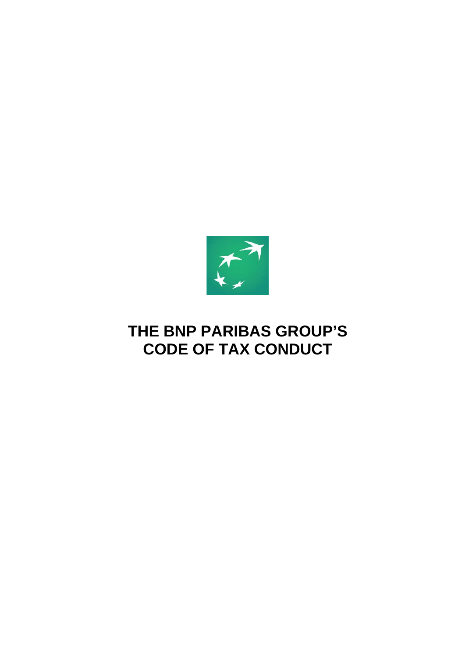

## **THE BNP PARIBAS GROUP'S CODE OF TAX CONDUCT**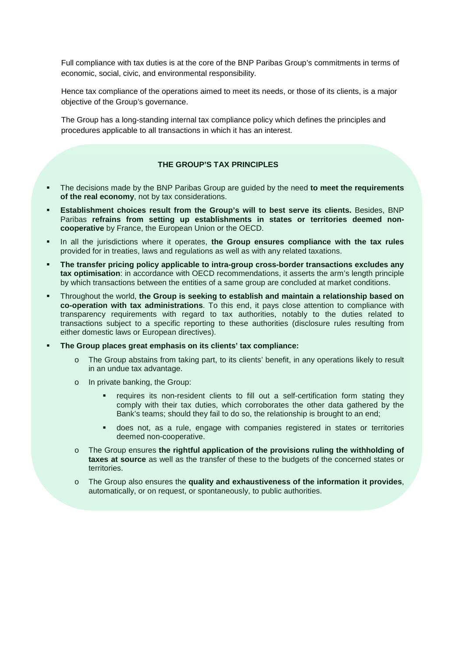Full compliance with tax duties is at the core of the BNP Paribas Group's commitments in terms of economic, social, civic, and environmental responsibility.

Hence tax compliance of the operations aimed to meet its needs, or those of its clients, is a major objective of the Group's governance.

The Group has a long-standing internal tax compliance policy which defines the principles and procedures applicable to all transactions in which it has an interest.

## **THE GROUP'S TAX PRINCIPLES**

- The decisions made by the BNP Paribas Group are guided by the need **to meet the requirements of the real economy**, not by tax considerations.
- **Establishment choices result from the Group's will to best serve its clients.** Besides, BNP Paribas **refrains from setting up establishments in states or territories deemed noncooperative** by France, the European Union or the OECD.
- **IDED** In all the jurisdictions where it operates, the Group ensures compliance with the tax rules provided for in treaties, laws and regulations as well as with any related taxations.
- **The transfer pricing policy applicable to intra-group cross-border transactions excludes any tax optimisation**: in accordance with OECD recommendations, it asserts the arm's length principle by which transactions between the entities of a same group are concluded at market conditions.
- Throughout the world, **the Group is seeking to establish and maintain a relationship based on co-operation with tax administrations**. To this end, it pays close attention to compliance with transparency requirements with regard to tax authorities, notably to the duties related to transactions subject to a specific reporting to these authorities (disclosure rules resulting from either domestic laws or European directives).
- **The Group places great emphasis on its clients' tax compliance:**
	- o The Group abstains from taking part, to its clients' benefit, in any operations likely to result in an undue tax advantage.
	- o In private banking, the Group:
		- requires its non-resident clients to fill out a self-certification form stating they comply with their tax duties, which corroborates the other data gathered by the Bank's teams; should they fail to do so, the relationship is brought to an end;
		- does not, as a rule, engage with companies registered in states or territories deemed non-cooperative.
	- o The Group ensures **the rightful application of the provisions ruling the withholding of taxes at source** as well as the transfer of these to the budgets of the concerned states or territories.
	- o The Group also ensures the **quality and exhaustiveness of the information it provides**, automatically, or on request, or spontaneously, to public authorities.